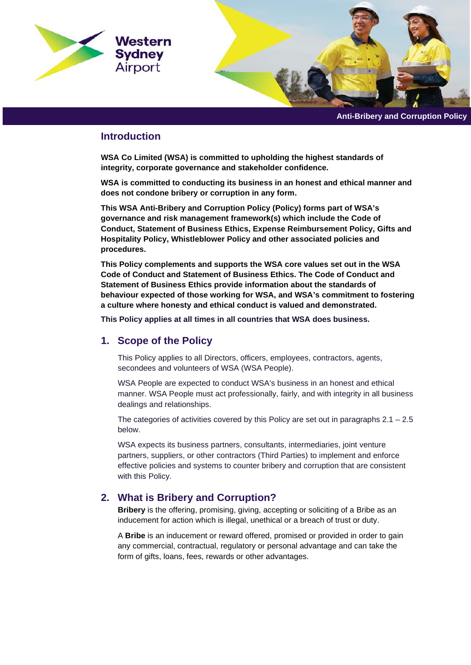

**Anti-Bribery and Corruption Policy**

## **Introduction**

**WSA Co Limited (WSA) is committed to upholding the highest standards of integrity, corporate governance and stakeholder confidence.** 

**WSA is committed to conducting its business in an honest and ethical manner and does not condone bribery or corruption in any form.** 

**This WSA Anti-Bribery and Corruption Policy (Policy) forms part of WSA's governance and risk management framework(s) which include the Code of Conduct, Statement of Business Ethics, Expense Reimbursement Policy, Gifts and Hospitality Policy, Whistleblower Policy and other associated policies and procedures.** 

**This Policy complements and supports the WSA core values set out in the WSA Code of Conduct and Statement of Business Ethics. The Code of Conduct and Statement of Business Ethics provide information about the standards of behaviour expected of those working for WSA, and WSA's commitment to fostering a culture where honesty and ethical conduct is valued and demonstrated.**

**This Policy applies at all times in all countries that WSA does business.** 

## **1. Scope of the Policy**

This Policy applies to all Directors, officers, employees, contractors, agents, secondees and volunteers of WSA (WSA People).

WSA People are expected to conduct WSA's business in an honest and ethical manner. WSA People must act professionally, fairly, and with integrity in all business dealings and relationships.

The categories of activities covered by this Policy are set out in paragraphs  $2.1 - 2.5$ below.

WSA expects its business partners, consultants, intermediaries, joint venture partners, suppliers, or other contractors (Third Parties) to implement and enforce effective policies and systems to counter bribery and corruption that are consistent with this Policy.

## **2. What is Bribery and Corruption?**

**Bribery** is the offering, promising, giving, accepting or soliciting of a Bribe as an inducement for action which is illegal, unethical or a breach of trust or duty.

A **Bribe** is an inducement or reward offered, promised or provided in order to gain any commercial, contractual, regulatory or personal advantage and can take the form of gifts, loans, fees, rewards or other advantages.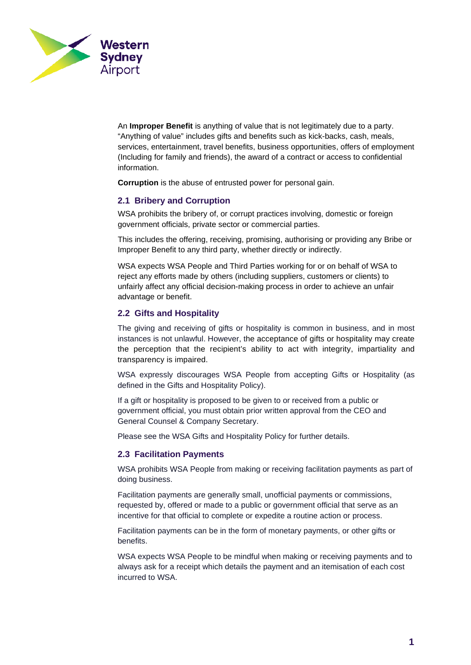

An **Improper Benefit** is anything of value that is not legitimately due to a party. "Anything of value" includes gifts and benefits such as kick-backs, cash, meals, services, entertainment, travel benefits, business opportunities, offers of employment (Including for family and friends), the award of a contract or access to confidential information.

**Corruption** is the abuse of entrusted power for personal gain.

### **2.1 Bribery and Corruption**

WSA prohibits the bribery of, or corrupt practices involving, domestic or foreign government officials, private sector or commercial parties.

This includes the offering, receiving, promising, authorising or providing any Bribe or Improper Benefit to any third party, whether directly or indirectly.

WSA expects WSA People and Third Parties working for or on behalf of WSA to reject any efforts made by others (including suppliers, customers or clients) to unfairly affect any official decision-making process in order to achieve an unfair advantage or benefit.

#### **2.2 Gifts and Hospitality**

The giving and receiving of gifts or hospitality is common in business, and in most instances is not unlawful. However, the acceptance of gifts or hospitality may create the perception that the recipient's ability to act with integrity, impartiality and transparency is impaired.

WSA expressly discourages WSA People from accepting Gifts or Hospitality (as defined in the Gifts and Hospitality Policy).

If a gift or hospitality is proposed to be given to or received from a public or government official, you must obtain prior written approval from the CEO and General Counsel & Company Secretary.

Please see the WSA Gifts and Hospitality Policy for further details.

#### **2.3 Facilitation Payments**

WSA prohibits WSA People from making or receiving facilitation payments as part of doing business.

Facilitation payments are generally small, unofficial payments or commissions, requested by, offered or made to a public or government official that serve as an incentive for that official to complete or expedite a routine action or process.

Facilitation payments can be in the form of monetary payments, or other gifts or benefits.

WSA expects WSA People to be mindful when making or receiving payments and to always ask for a receipt which details the payment and an itemisation of each cost incurred to WSA.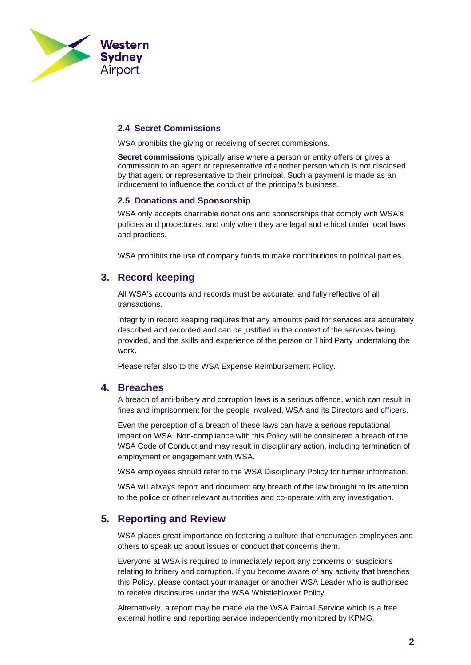

### **2.4 Secret Commissions**

WSA prohibits the giving or receiving of secret commissions.

**Secret commissions** typically arise where a person or entity offers or gives a commission to an agent or representative of another person which is not disclosed by that agent or representative to their principal. Such a payment is made as an inducement to influence the conduct of the principal's business.

#### **2.5 Donations and Sponsorship**

WSA only accepts charitable donations and sponsorships that comply with WSA's policies and procedures, and only when they are legal and ethical under local laws and practices.

WSA prohibits the use of company funds to make contributions to political parties.

## **3. Record keeping**

All WSA's accounts and records must be accurate, and fully reflective of all transactions.

Integrity in record keeping requires that any amounts paid for services are accurately described and recorded and can be justified in the context of the services being provided, and the skills and experience of the person or Third Party undertaking the work.

Please refer also to the WSA Expense Reimbursement Policy.

### **4. Breaches**

A breach of anti-bribery and corruption laws is a serious offence, which can result in fines and imprisonment for the people involved, WSA and its Directors and officers.

Even the perception of a breach of these laws can have a serious reputational impact on WSA. Non-compliance with this Policy will be considered a breach of the WSA Code of Conduct and may result in disciplinary action, including termination of employment or engagement with WSA.

WSA employees should refer to the WSA Disciplinary Policy for further information.

WSA will always report and document any breach of the law brought to its attention to the police or other relevant authorities and co-operate with any investigation.

## **5. Reporting and Review**

WSA places great importance on fostering a culture that encourages employees and others to speak up about issues or conduct that concerns them.

Everyone at WSA is required to immediately report any concerns or suspicions relating to bribery and corruption. If you become aware of any activity that breaches this Policy, please contact your manager or another WSA Leader who is authorised to receive disclosures under the WSA Whistleblower Policy.

Alternatively, a report may be made via the WSA Faircall Service which is a free external hotline and reporting service independently monitored by KPMG.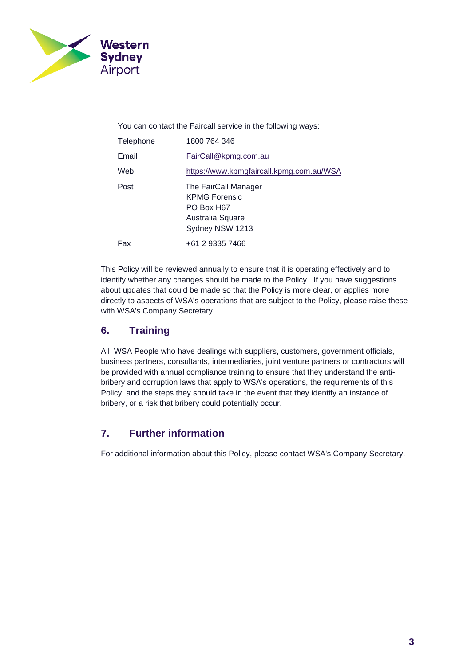

You can contact the Faircall service in the following ways:

| Telephone | 1800 764 346                                                                                      |
|-----------|---------------------------------------------------------------------------------------------------|
| Email     | FairCall@kpmg.com.au                                                                              |
| Web       | https://www.kpmgfaircall.kpmg.com.au/WSA                                                          |
| Post      | The FairCall Manager<br><b>KPMG Forensic</b><br>PO Box H67<br>Australia Square<br>Sydney NSW 1213 |
| Fax       | +61 2 9335 7466                                                                                   |

This Policy will be reviewed annually to ensure that it is operating effectively and to identify whether any changes should be made to the Policy. If you have suggestions about updates that could be made so that the Policy is more clear, or applies more directly to aspects of WSA's operations that are subject to the Policy, please raise these with WSA's Company Secretary.

# **6. Training**

All WSA People who have dealings with suppliers, customers, government officials, business partners, consultants, intermediaries, joint venture partners or contractors will be provided with annual compliance training to ensure that they understand the antibribery and corruption laws that apply to WSA's operations, the requirements of this Policy, and the steps they should take in the event that they identify an instance of bribery, or a risk that bribery could potentially occur.

# **7. Further information**

For additional information about this Policy, please contact WSA's Company Secretary.